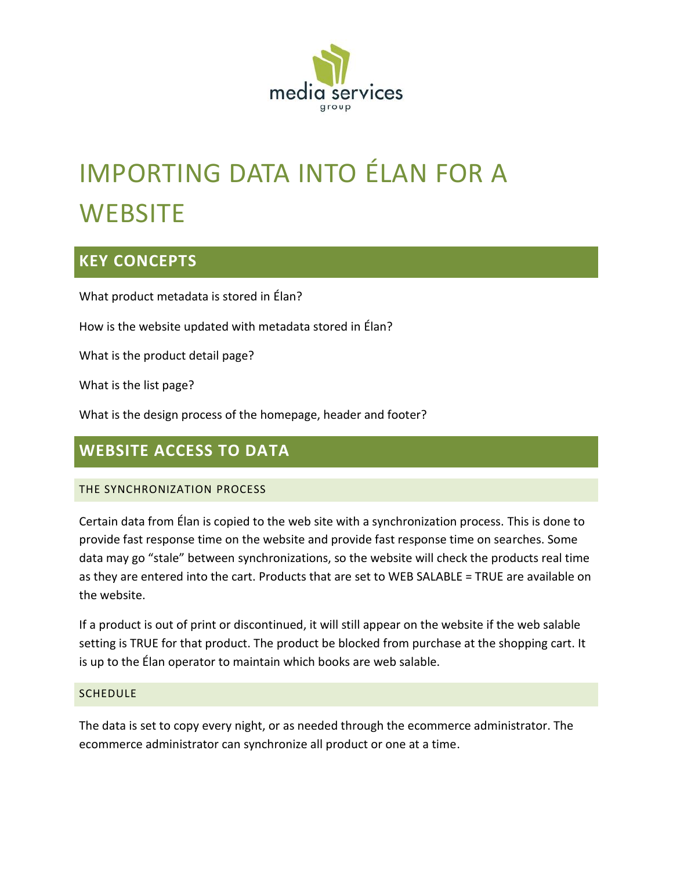

# IMPORTING DATA INTO ÉLAN FOR A **WEBSITE**

# **KEY CONCEPTS**

What product metadata is stored in Élan?

How is the website updated with metadata stored in Élan?

What is the product detail page?

What is the list page?

What is the design process of the homepage, header and footer?

# **WEBSITE ACCESS TO DATA**

### THE SYNCHRONIZATION PROCESS

Certain data from Élan is copied to the web site with a synchronization process. This is done to provide fast response time on the website and provide fast response time on searches. Some data may go "stale" between synchronizations, so the website will check the products real time as they are entered into the cart. Products that are set to WEB SALABLE = TRUE are available on the website.

If a product is out of print or discontinued, it will still appear on the website if the web salable setting is TRUE for that product. The product be blocked from purchase at the shopping cart. It is up to the Élan operator to maintain which books are web salable.

### **SCHEDULE**

The data is set to copy every night, or as needed through the ecommerce administrator. The ecommerce administrator can synchronize all product or one at a time.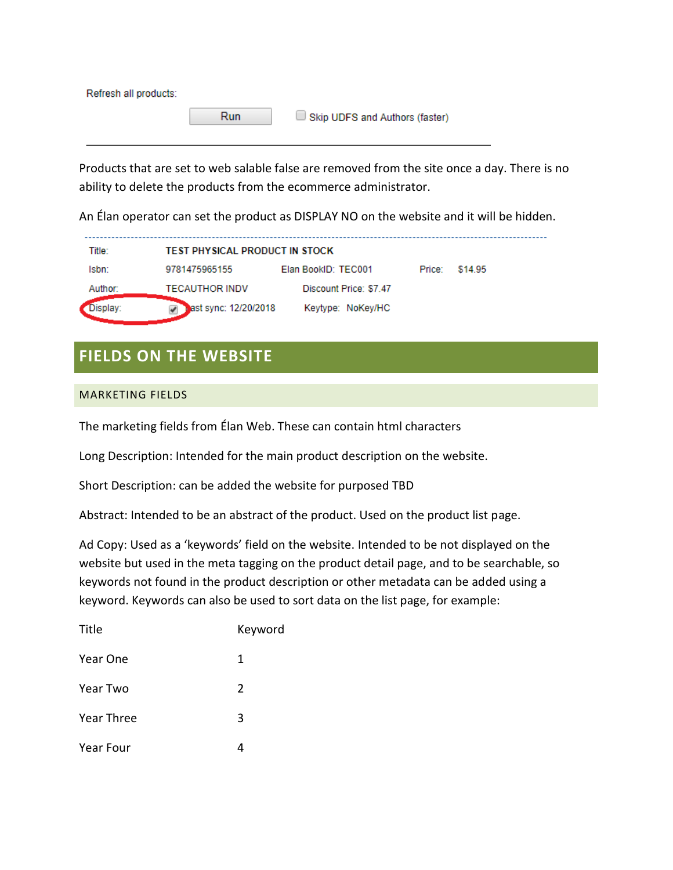| Refresh all products: |     |                                |
|-----------------------|-----|--------------------------------|
|                       | Run | Skip UDFS and Authors (faster) |
|                       |     |                                |

Products that are set to web salable false are removed from the site once a day. There is no ability to delete the products from the ecommerce administrator.

An Élan operator can set the product as DISPLAY NO on the website and it will be hidden.

| Title:   | <b>TEST PHYSICAL PRODUCT IN STOCK</b> |                        |        |         |  |
|----------|---------------------------------------|------------------------|--------|---------|--|
| lsbn:    | 9781475965155                         | Elan BookID: TEC001    | Price: | \$14.95 |  |
| Author:  | <b>TECAUTHOR INDV</b>                 | Discount Price: \$7.47 |        |         |  |
| )isplay: | ast sync: 12/20/2018                  | Keytype: NoKey/HC      |        |         |  |

# **FIELDS ON THE WEBSITE**

### MARKETING FIELDS

The marketing fields from Élan Web. These can contain html characters

Long Description: Intended for the main product description on the website.

Short Description: can be added the website for purposed TBD

Abstract: Intended to be an abstract of the product. Used on the product list page.

Ad Copy: Used as a 'keywords' field on the website. Intended to be not displayed on the website but used in the meta tagging on the product detail page, and to be searchable, so keywords not found in the product description or other metadata can be added using a keyword. Keywords can also be used to sort data on the list page, for example:

| Title             | Keyword        |
|-------------------|----------------|
| Year One          | 1              |
| Year Two          | $\overline{2}$ |
| <b>Year Three</b> | 3              |
| Year Four         |                |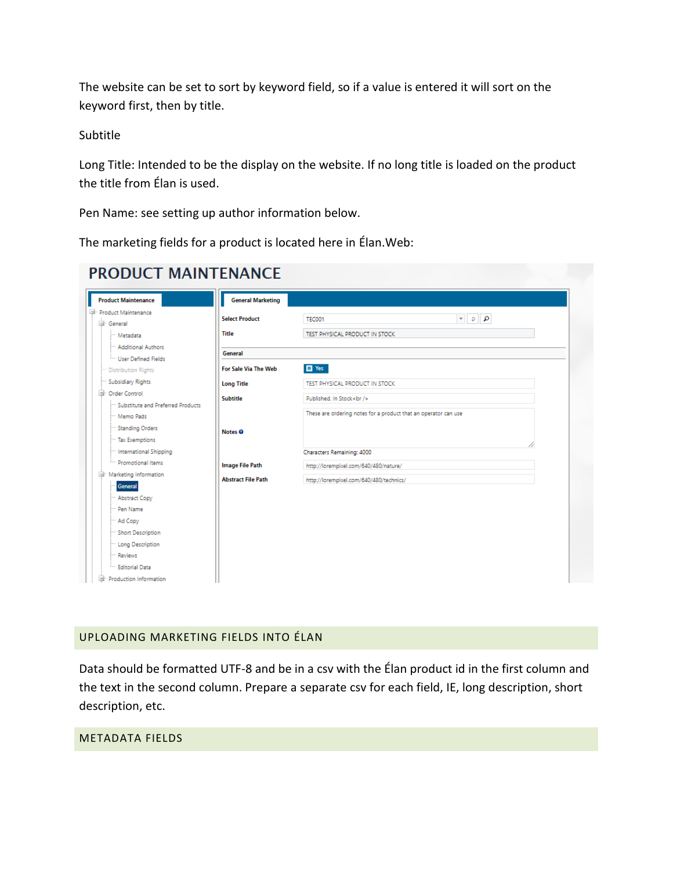The website can be set to sort by keyword field, so if a value is entered it will sort on the keyword first, then by title.

### Subtitle

Long Title: Intended to be the display on the website. If no long title is loaded on the product the title from Élan is used.

Pen Name: see setting up author information below.

The marketing fields for a product is located here in Élan.Web:

| <b>General Marketing</b><br><b>Product Maintenance</b>         |                                                                                                                                                                                                                                                                                                                                                                                                                                                                                                              |
|----------------------------------------------------------------|--------------------------------------------------------------------------------------------------------------------------------------------------------------------------------------------------------------------------------------------------------------------------------------------------------------------------------------------------------------------------------------------------------------------------------------------------------------------------------------------------------------|
| Product Maintenance<br><b>Select Product</b><br>General        | $\begin{array}{c c c c} \hline \multicolumn{3}{c }{\mathbf{\mathcal{Q}}} & \multicolumn{3}{c }{\mathbf{\mathcal{Q}}} & \multicolumn{3}{c }{\mathbf{\mathcal{Q}}} \\ \hline \multicolumn{3}{c }{\mathbf{\mathcal{Q}}} & \multicolumn{3}{c }{\mathbf{\mathcal{Q}}} & \multicolumn{3}{c }{\mathbf{\mathcal{Q}}} & \multicolumn{3}{c }{\mathbf{\mathcal{P}}} \\ \hline \multicolumn{3}{c }{\mathbf{\mathcal{Q}}} & \multicolumn{3}{c }{\mathbf{\mathcal{Q}}} & \multicolumn{3}{c }{\mathbf{\mathcal{Q$<br>TEC001 |
| <b>Title</b><br>-- Metadata                                    | TEST PHYSICAL PRODUCT IN STOCK                                                                                                                                                                                                                                                                                                                                                                                                                                                                               |
| - Additional Authors                                           |                                                                                                                                                                                                                                                                                                                                                                                                                                                                                                              |
| General<br><b>Ware</b> Defined Fields                          |                                                                                                                                                                                                                                                                                                                                                                                                                                                                                                              |
| For Sale Via The Web<br>Distribution Rights                    | $\blacksquare$ Yes                                                                                                                                                                                                                                                                                                                                                                                                                                                                                           |
| Subsidiary Rights<br><b>Long Title</b>                         | TEST PHYSICAL PRODUCT IN STOCK                                                                                                                                                                                                                                                                                                                                                                                                                                                                               |
| - Order Control<br><b>Subtitle</b>                             | Published, In Stock<br>>                                                                                                                                                                                                                                                                                                                                                                                                                                                                                     |
| <sup>11</sup> Substitute and Preferred Products<br>- Memo Pads | These are ordering notes for a product that an operator can use                                                                                                                                                                                                                                                                                                                                                                                                                                              |
|                                                                |                                                                                                                                                                                                                                                                                                                                                                                                                                                                                                              |
| " Standing Orders<br>Notes <sup>®</sup>                        |                                                                                                                                                                                                                                                                                                                                                                                                                                                                                                              |
| - Tax Exemptions                                               |                                                                                                                                                                                                                                                                                                                                                                                                                                                                                                              |
| - International Shipping                                       | Characters Remaining: 4000                                                                                                                                                                                                                                                                                                                                                                                                                                                                                   |
| Promotional Items<br><b>Image File Path</b>                    | http://lorempixel.com/640/480/nature/                                                                                                                                                                                                                                                                                                                                                                                                                                                                        |
| Marketing Information<br><b>Abstract File Path</b><br>General  | http://lorempixel.com/640/480/technics/                                                                                                                                                                                                                                                                                                                                                                                                                                                                      |
| Abstract Copy                                                  |                                                                                                                                                                                                                                                                                                                                                                                                                                                                                                              |
| Pen Name                                                       |                                                                                                                                                                                                                                                                                                                                                                                                                                                                                                              |
| - Ad Copy                                                      |                                                                                                                                                                                                                                                                                                                                                                                                                                                                                                              |
| - Short Description                                            |                                                                                                                                                                                                                                                                                                                                                                                                                                                                                                              |
| Long Description                                               |                                                                                                                                                                                                                                                                                                                                                                                                                                                                                                              |
| Reviews                                                        |                                                                                                                                                                                                                                                                                                                                                                                                                                                                                                              |

# **DRODUCT MAINITENANCE**

### UPLOADING MARKETING FIELDS INTO ÉLAN

Data should be formatted UTF-8 and be in a csv with the Élan product id in the first column and the text in the second column. Prepare a separate csv for each field, IE, long description, short description, etc.

### METADATA FIELDS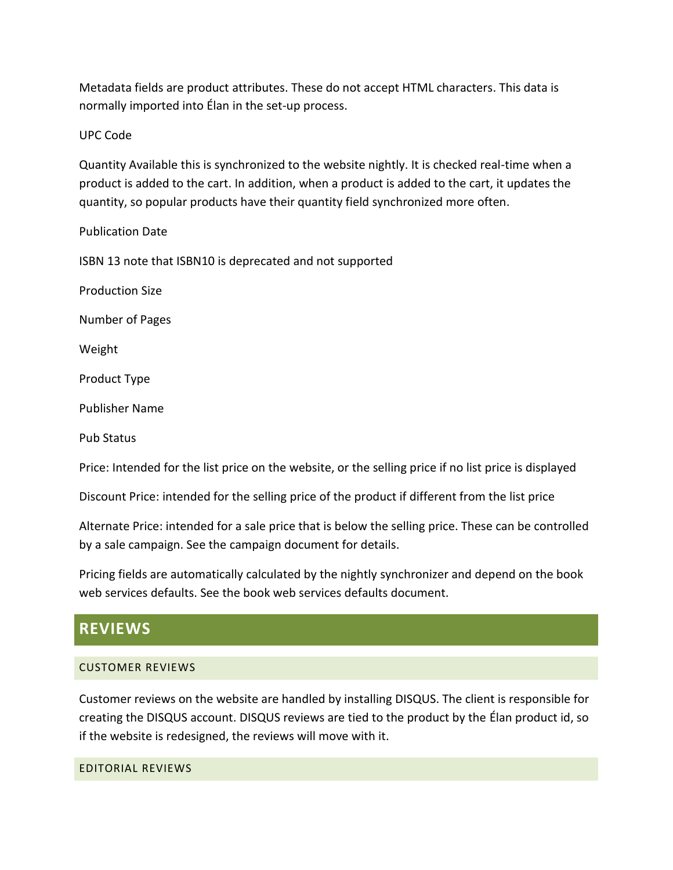Metadata fields are product attributes. These do not accept HTML characters. This data is normally imported into Élan in the set-up process.

UPC Code

Quantity Available this is synchronized to the website nightly. It is checked real-time when a product is added to the cart. In addition, when a product is added to the cart, it updates the quantity, so popular products have their quantity field synchronized more often.

Publication Date

ISBN 13 note that ISBN10 is deprecated and not supported

Production Size

Number of Pages

Weight

Product Type

Publisher Name

Pub Status

Price: Intended for the list price on the website, or the selling price if no list price is displayed

Discount Price: intended for the selling price of the product if different from the list price

Alternate Price: intended for a sale price that is below the selling price. These can be controlled by a sale campaign. See the campaign document for details.

Pricing fields are automatically calculated by the nightly synchronizer and depend on the book web services defaults. See the book web services defaults document.

# **REVIEWS**

### CUSTOMER REVIEWS

Customer reviews on the website are handled by installing DISQUS. The client is responsible for creating the DISQUS account. DISQUS reviews are tied to the product by the Élan product id, so if the website is redesigned, the reviews will move with it.

### EDITORIAL REVIEWS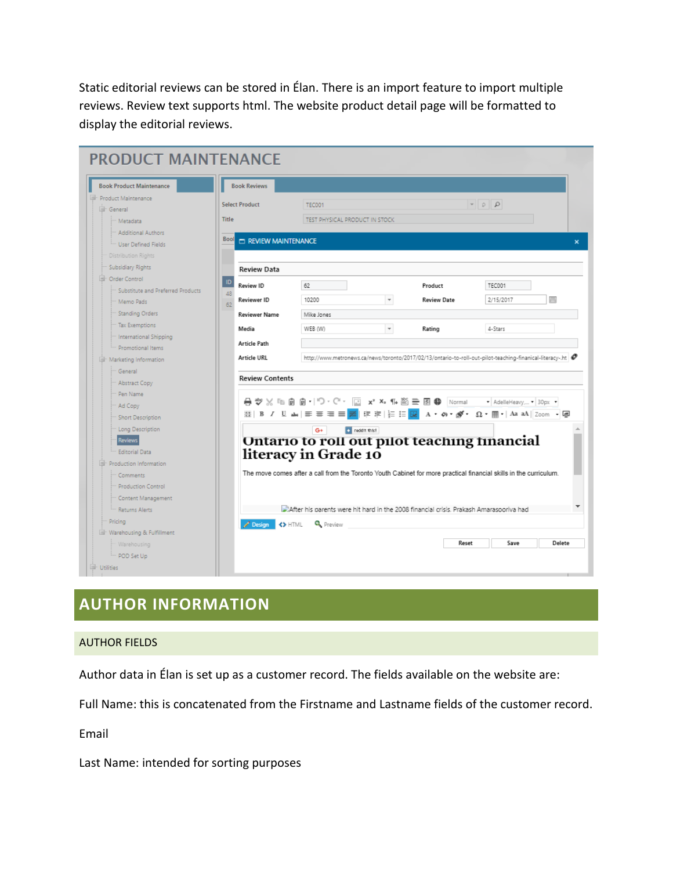Static editorial reviews can be stored in Élan. There is an import feature to import multiple reviews. Review text supports html. The website product detail page will be formatted to display the editorial reviews.

| <b>Book Product Maintenance</b>                       | <b>Book Reviews</b>                         |                                                                                                                     |                     |                                                                                                               |                                                        |                |
|-------------------------------------------------------|---------------------------------------------|---------------------------------------------------------------------------------------------------------------------|---------------------|---------------------------------------------------------------------------------------------------------------|--------------------------------------------------------|----------------|
| Product Maintenance                                   | <b>Select Product</b>                       | <b>TEC001</b>                                                                                                       |                     |                                                                                                               | $\mathbf{Q} \parallel \mathbf{Q} \parallel \mathbf{r}$ |                |
| - General                                             |                                             |                                                                                                                     |                     |                                                                                                               |                                                        |                |
| <sup>**</sup> Metadata                                | <b>Title</b>                                | TEST PHYSICAL PRODUCT IN STOCK.                                                                                     |                     |                                                                                                               |                                                        |                |
| - Additional Authors<br><b>We User Defined Fields</b> | <b>Bool</b><br><b>ED REVIEW MAINTENANCE</b> |                                                                                                                     |                     |                                                                                                               |                                                        |                |
| Distribution Rights                                   |                                             |                                                                                                                     |                     |                                                                                                               |                                                        |                |
| Subsidiary Rights                                     | <b>Review Data</b>                          |                                                                                                                     |                     |                                                                                                               |                                                        |                |
| - Order Control                                       | ID                                          |                                                                                                                     |                     |                                                                                                               |                                                        |                |
| Substitute and Preferred Products                     | Review ID<br>48                             | 62                                                                                                                  |                     | Product                                                                                                       | TEC001                                                 |                |
| - Memo Pads                                           | Reviewer ID<br>62                           | 10200                                                                                                               | $\scriptstyle\rm w$ | <b>Review Date</b>                                                                                            | 2/15/2017                                              | $\blacksquare$ |
| Standing Orders                                       | <b>Reviewer Name</b>                        | Mike Jones                                                                                                          |                     |                                                                                                               |                                                        |                |
| Tax Exemptions                                        | Media                                       | WEB (W)                                                                                                             | $\scriptstyle\rm w$ | Rating                                                                                                        | 4-Stars                                                |                |
| International Shipping                                | <b>Article Path</b>                         |                                                                                                                     |                     |                                                                                                               |                                                        |                |
| Promotional Items                                     |                                             |                                                                                                                     |                     |                                                                                                               |                                                        |                |
| - Marketing Information                               | <b>Article URL</b>                          |                                                                                                                     |                     | http://www.metronews.ca/news/toronto/2017/02/13/ontario-to-roll-out-pilot-teaching-finanical-literacy-.ht   @ |                                                        |                |
|                                                       | <b>Review Contents</b>                      |                                                                                                                     |                     |                                                                                                               |                                                        |                |
| Abstract Copy                                         |                                             |                                                                                                                     |                     |                                                                                                               |                                                        |                |
|                                                       |                                             | 骨 ♥ ※ ℡ 圓 圓 ー   ♡ ・ C' ・   _   x' × 1 1 ii  ii  三 困 ●   Normal     →   AdelleHeavy •   30px •                       |                     |                                                                                                               |                                                        |                |
| Short Description                                     |                                             | M   B / U ak   三 三 三 三 <mark>굴</mark>   启 定   는 ;= <mark>많</mark> A ㆍ のㆍ @ ・ 요ㆍ 冊 ・  Aa aA    Zoom ・ <mark>④</mark> |                     |                                                                                                               |                                                        |                |
| Long Description                                      |                                             | c reddit this!<br>G+                                                                                                |                     |                                                                                                               |                                                        |                |
|                                                       |                                             | Ontario to roll out pilot teaching financial                                                                        |                     |                                                                                                               |                                                        |                |
| <b>Editorial Data</b>                                 |                                             | literacy in Grade 10                                                                                                |                     |                                                                                                               |                                                        |                |
| Production Information                                |                                             |                                                                                                                     |                     |                                                                                                               |                                                        |                |
| Comments                                              |                                             | The move comes after a call from the Toronto Youth Cabinet for more practical financial skills in the curriculum.   |                     |                                                                                                               |                                                        |                |
| - Production Control                                  |                                             |                                                                                                                     |                     |                                                                                                               |                                                        |                |
| " Content Management                                  |                                             |                                                                                                                     |                     |                                                                                                               |                                                        |                |
| - Returns Alerts                                      |                                             | After his parents were hit hard in the 2008 financial crisis. Prakash Amarasooriva had                              |                     |                                                                                                               |                                                        |                |
|                                                       | $\lambda$ Design $\lambda$ HTML             | <b>Q</b> Preview                                                                                                    |                     |                                                                                                               |                                                        |                |
|                                                       |                                             |                                                                                                                     |                     |                                                                                                               |                                                        |                |
| Varehousing & Fulfillment                             |                                             |                                                                                                                     |                     | Reset                                                                                                         | Save                                                   | Delete         |

# **AUTHOR INFORMATION**

### AUTHOR FIELDS

Author data in Élan is set up as a customer record. The fields available on the website are:

Full Name: this is concatenated from the Firstname and Lastname fields of the customer record.

Email

Last Name: intended for sorting purposes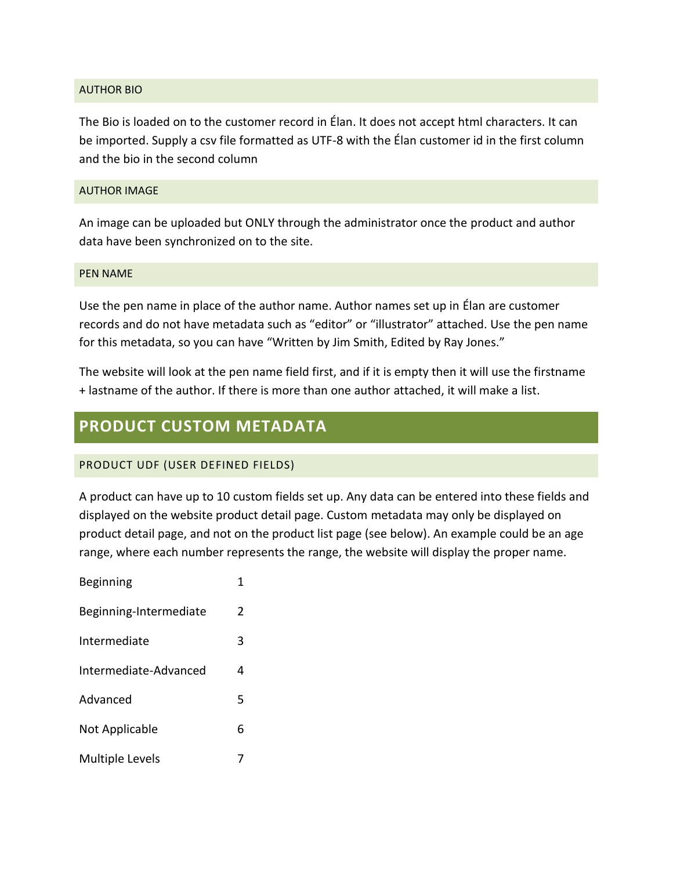### AUTHOR BIO

The Bio is loaded on to the customer record in Élan. It does not accept html characters. It can be imported. Supply a csv file formatted as UTF-8 with the Élan customer id in the first column and the bio in the second column

### AUTHOR IMAGE

An image can be uploaded but ONLY through the administrator once the product and author data have been synchronized on to the site.

### PEN NAME

Use the pen name in place of the author name. Author names set up in Élan are customer records and do not have metadata such as "editor" or "illustrator" attached. Use the pen name for this metadata, so you can have "Written by Jim Smith, Edited by Ray Jones."

The website will look at the pen name field first, and if it is empty then it will use the firstname + lastname of the author. If there is more than one author attached, it will make a list.

# **PRODUCT CUSTOM METADATA**

### PRODUCT UDF (USER DEFINED FIELDS)

A product can have up to 10 custom fields set up. Any data can be entered into these fields and displayed on the website product detail page. Custom metadata may only be displayed on product detail page, and not on the product list page (see below). An example could be an age range, where each number represents the range, the website will display the proper name.

Beginning 1 Beginning-Intermediate 2 Intermediate 3 Intermediate-Advanced 4 Advanced 5 Not Applicable 6 Multiple Levels 7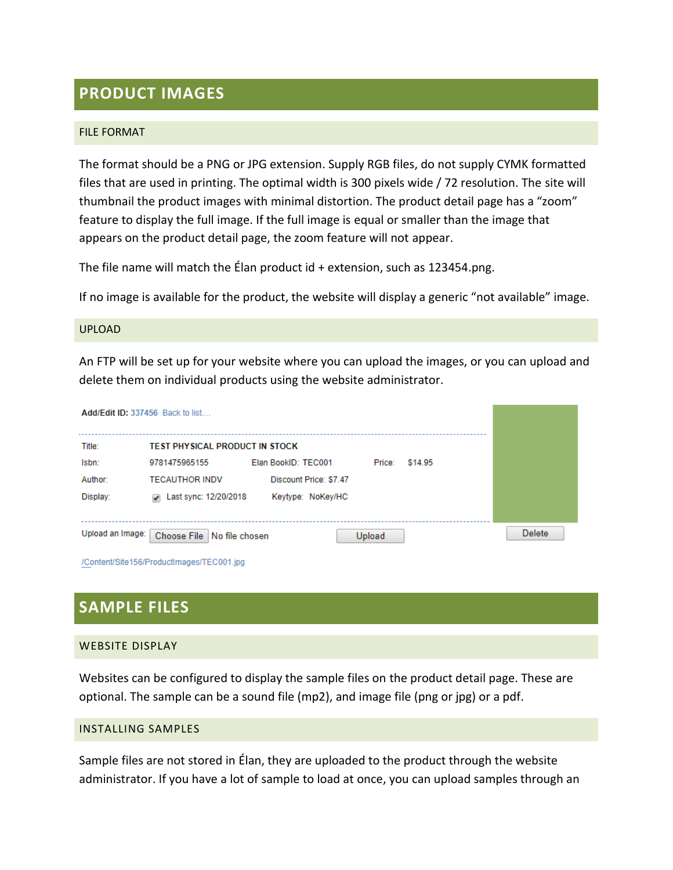### **PRODUCT IMAGES**

### FILE FORMAT

The format should be a PNG or JPG extension. Supply RGB files, do not supply CYMK formatted files that are used in printing. The optimal width is 300 pixels wide / 72 resolution. The site will thumbnail the product images with minimal distortion. The product detail page has a "zoom" feature to display the full image. If the full image is equal or smaller than the image that appears on the product detail page, the zoom feature will not appear.

The file name will match the Élan product id + extension, such as 123454.png.

If no image is available for the product, the website will display a generic "not available" image.

### UPLOAD

An FTP will be set up for your website where you can upload the images, or you can upload and delete them on individual products using the website administrator.

| <b>Add/Edit ID: 337456 Back to list</b> |                                                   |                        |               |         |               |
|-----------------------------------------|---------------------------------------------------|------------------------|---------------|---------|---------------|
| Title:                                  | <b>TEST PHYSICAL PRODUCT IN STOCK</b>             |                        |               |         |               |
| Isbn:                                   | 9781475965155                                     | Elan BookID: TEC001    | Price:        | \$14.95 |               |
| Author:                                 | <b>TECAUTHOR INDV</b>                             | Discount Price: \$7.47 |               |         |               |
| Display:                                | Last sync: 12/20/2018<br>$\overline{\mathcal{L}}$ | Keytype: NoKey/HC      |               |         |               |
|                                         |                                                   |                        |               |         |               |
| Upload an Image:                        | Choose File<br>No file chosen                     |                        | <b>Upload</b> |         | <b>Delete</b> |

/Content/Site156/ProductImages/TEC001.jpg

### **SAMPLE FILES**

### WEBSITE DISPLAY

Websites can be configured to display the sample files on the product detail page. These are optional. The sample can be a sound file (mp2), and image file (png or jpg) or a pdf.

### INSTALLING SAMPLES

Sample files are not stored in Élan, they are uploaded to the product through the website administrator. If you have a lot of sample to load at once, you can upload samples through an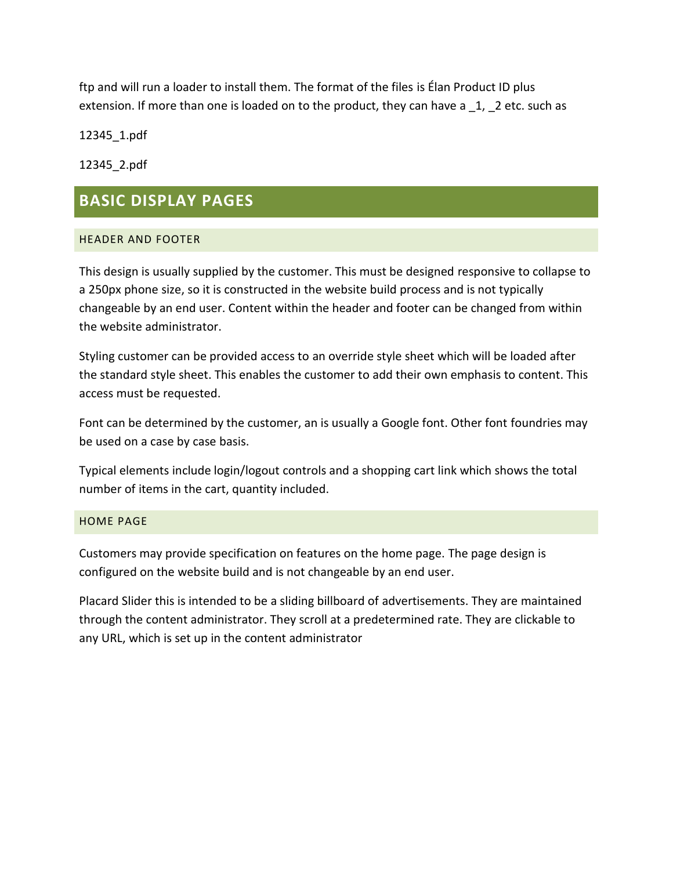ftp and will run a loader to install them. The format of the files is Élan Product ID plus extension. If more than one is loaded on to the product, they can have a 1, 2 etc. such as

12345\_1.pdf

12345\_2.pdf

# **BASIC DISPLAY PAGES**

### HEADER AND FOOTER

This design is usually supplied by the customer. This must be designed responsive to collapse to a 250px phone size, so it is constructed in the website build process and is not typically changeable by an end user. Content within the header and footer can be changed from within the website administrator.

Styling customer can be provided access to an override style sheet which will be loaded after the standard style sheet. This enables the customer to add their own emphasis to content. This access must be requested.

Font can be determined by the customer, an is usually a Google font. Other font foundries may be used on a case by case basis.

Typical elements include login/logout controls and a shopping cart link which shows the total number of items in the cart, quantity included.

### HOME PAGE

Customers may provide specification on features on the home page. The page design is configured on the website build and is not changeable by an end user.

Placard Slider this is intended to be a sliding billboard of advertisements. They are maintained through the content administrator. They scroll at a predetermined rate. They are clickable to any URL, which is set up in the content administrator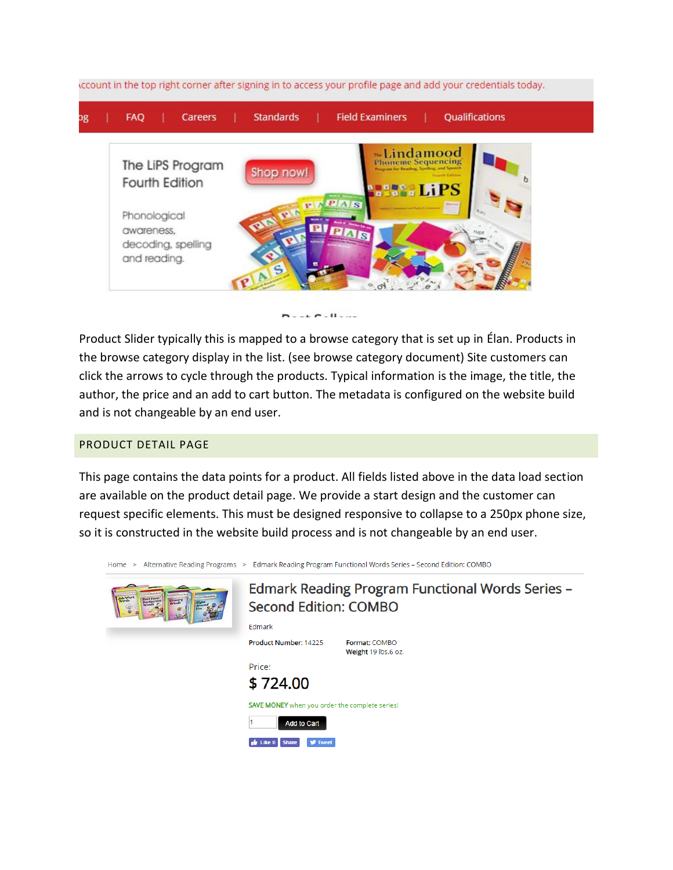



Product Slider typically this is mapped to a browse category that is set up in Élan. Products in the browse category display in the list. (see browse category document) Site customers can click the arrows to cycle through the products. Typical information is the image, the title, the author, the price and an add to cart button. The metadata is configured on the website build and is not changeable by an end user.

### PRODUCT DETAIL PAGE

This page contains the data points for a product. All fields listed above in the data load section are available on the product detail page. We provide a start design and the customer can request specific elements. This must be designed responsive to collapse to a 250px phone size, so it is constructed in the website build process and is not changeable by an end user.

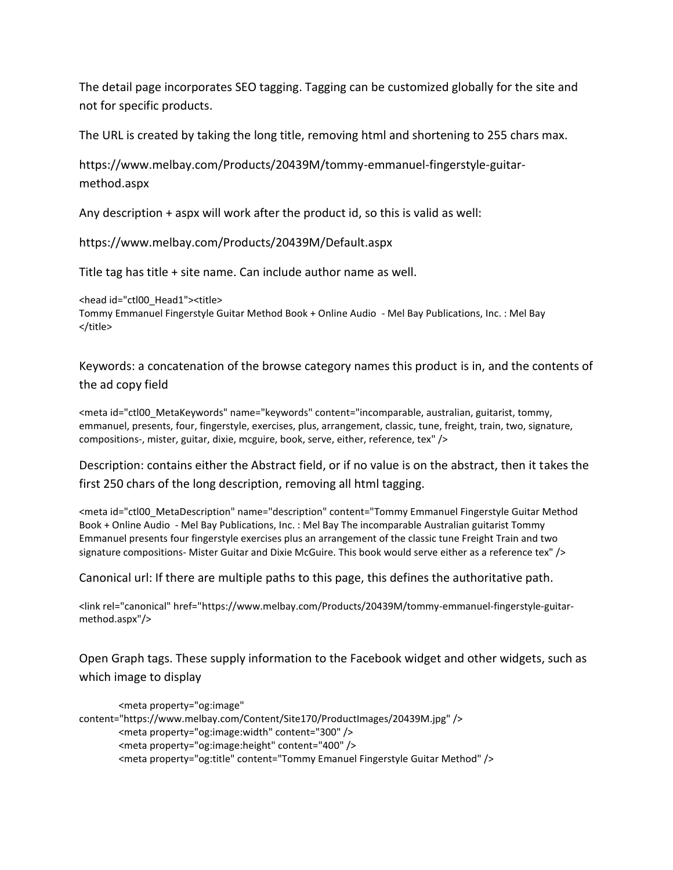The detail page incorporates SEO tagging. Tagging can be customized globally for the site and not for specific products.

The URL is created by taking the long title, removing html and shortening to 255 chars max.

https://www.melbay.com/Products/20439M/tommy-emmanuel-fingerstyle-guitarmethod.aspx

Any description + aspx will work after the product id, so this is valid as well:

https://www.melbay.com/Products/20439M/Default.aspx

Title tag has title + site name. Can include author name as well.

<head id="ctl00\_Head1"><title> Tommy Emmanuel Fingerstyle Guitar Method Book + Online Audio - Mel Bay Publications, Inc. : Mel Bay </title>

Keywords: a concatenation of the browse category names this product is in, and the contents of the ad copy field

<meta id="ctl00\_MetaKeywords" name="keywords" content="incomparable, australian, guitarist, tommy, emmanuel, presents, four, fingerstyle, exercises, plus, arrangement, classic, tune, freight, train, two, signature, compositions-, mister, guitar, dixie, mcguire, book, serve, either, reference, tex" />

Description: contains either the Abstract field, or if no value is on the abstract, then it takes the first 250 chars of the long description, removing all html tagging.

<meta id="ctl00\_MetaDescription" name="description" content="Tommy Emmanuel Fingerstyle Guitar Method Book + Online Audio - Mel Bay Publications, Inc. : Mel Bay The incomparable Australian guitarist Tommy Emmanuel presents four fingerstyle exercises plus an arrangement of the classic tune Freight Train and two signature compositions- Mister Guitar and Dixie McGuire. This book would serve either as a reference tex" />

Canonical url: If there are multiple paths to this page, this defines the authoritative path.

<link rel="canonical" href="https://www.melbay.com/Products/20439M/tommy-emmanuel-fingerstyle-guitarmethod.aspx"/>

Open Graph tags. These supply information to the Facebook widget and other widgets, such as which image to display

```
<meta property="og:image" 
content="https://www.melbay.com/Content/Site170/ProductImages/20439M.jpg" />
        <meta property="og:image:width" content="300" />
        <meta property="og:image:height" content="400" />
        <meta property="og:title" content="Tommy Emanuel Fingerstyle Guitar Method" />
```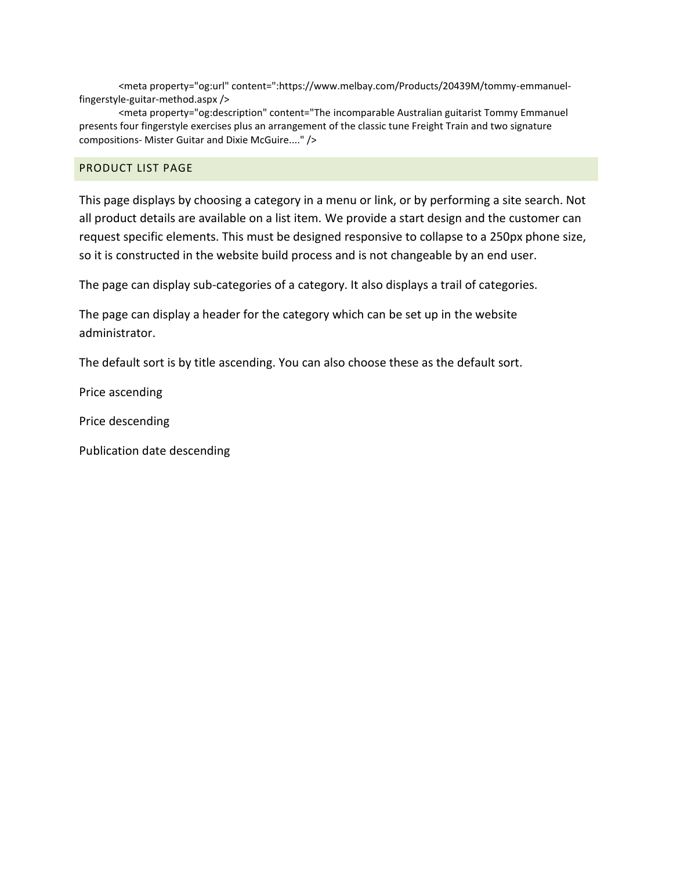<meta property="og:url" content=":https://www.melbay.com/Products/20439M/tommy-emmanuelfingerstyle-guitar-method.aspx />

<meta property="og:description" content="The incomparable Australian guitarist Tommy Emmanuel presents four fingerstyle exercises plus an arrangement of the classic tune Freight Train and two signature compositions- Mister Guitar and Dixie McGuire...." />

### PRODUCT LIST PAGE

This page displays by choosing a category in a menu or link, or by performing a site search. Not all product details are available on a list item. We provide a start design and the customer can request specific elements. This must be designed responsive to collapse to a 250px phone size, so it is constructed in the website build process and is not changeable by an end user.

The page can display sub-categories of a category. It also displays a trail of categories.

The page can display a header for the category which can be set up in the website administrator.

The default sort is by title ascending. You can also choose these as the default sort.

Price ascending

Price descending

Publication date descending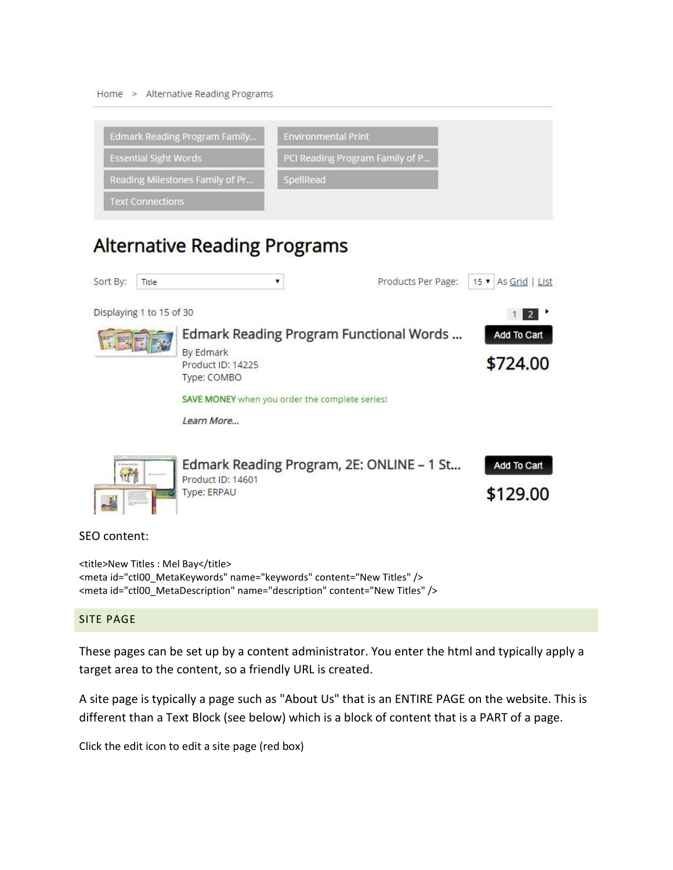Home > Alternative Reading Programs



# **Alternative Reading Programs**

| Sort By:           | Title                    | ▼                                              | Products Per Page:                        | 15 v As Grid   List |
|--------------------|--------------------------|------------------------------------------------|-------------------------------------------|---------------------|
|                    | Displaying 1 to 15 of 30 |                                                |                                           | $2^{\circ}$         |
|                    |                          |                                                | Edmark Reading Program Functional Words   | Add To Cart         |
|                    |                          | By Edmark<br>Product ID: 14225<br>Type: COMBO  |                                           | \$724.00            |
|                    |                          | SAVE MONEY when you order the complete series! |                                           |                     |
|                    |                          | Learn More                                     |                                           |                     |
| V a important with | <b>Richmond</b>          | Product ID: 14601                              | Edmark Reading Program, 2E: ONLINE - 1 St | Add To Cart         |
|                    | Junevoice                | Type: ERPAU                                    |                                           | \$129.00            |
| SEO content:       |                          |                                                |                                           |                     |

<title>New Titles : Mel Bay</title> <meta id="ctl00\_MetaKeywords" name="keywords" content="New Titles" /> <meta id="ctl00\_MetaDescription" name="description" content="New Titles" />

### SITE PAGE

These pages can be set up by a content administrator. You enter the html and typically apply a target area to the content, so a friendly URL is created.

A site page is typically a page such as "About Us" that is an ENTIRE PAGE on the website. This is different than a Text Block (see below) which is a block of content that is a PART of a page.

Click the edit icon to edit a site page (red box)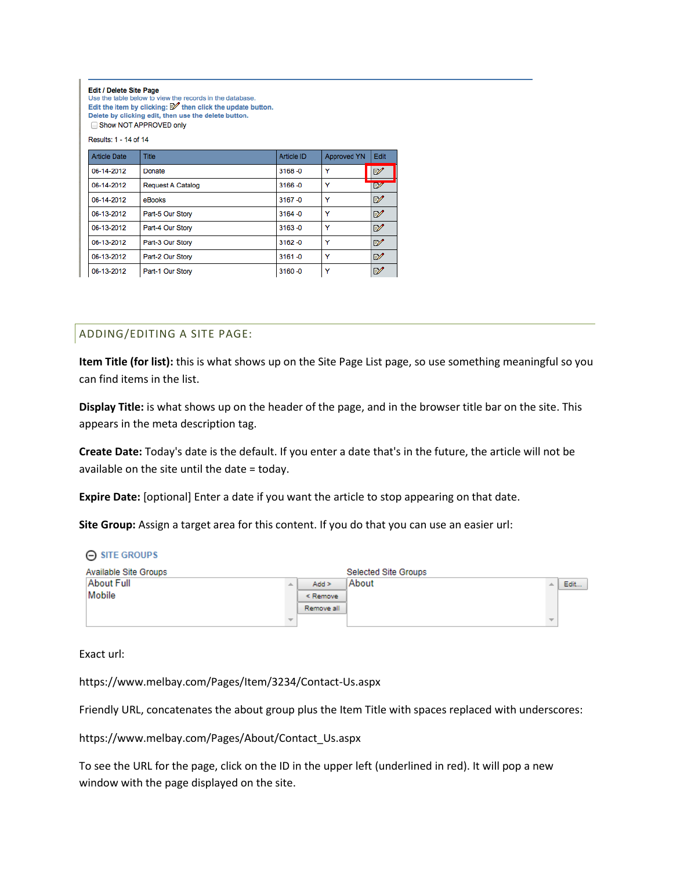#### Edit / Delete Site Page

Use the table below to view the records in the database. Edit the item by clicking:  $\mathbb Z$  then click the update button. Delete by clicking edit, then use the delete button.

Show NOT APPROVED only Results: 1 - 14 of 14

| <b>Article Date</b> | <b>Title</b>             | Article ID | <b>Approved YN</b> | Edit         |
|---------------------|--------------------------|------------|--------------------|--------------|
| 06-14-2012          | Donate                   | $3168 - 0$ | ٧                  | $\mathbb{Z}$ |
| 06-14-2012          | <b>Request A Catalog</b> | $3166 - 0$ | ٧                  | EZ.          |
| 06-14-2012          | eBooks                   | $3167 - 0$ | Y                  | ₽            |
| 06-13-2012          | Part-5 Our Story         | $3164 - 0$ | ٧                  | ₽            |
| 06-13-2012          | Part-4 Our Story         | $3163 - 0$ | Y                  | ₽            |
| 06-13-2012          | Part-3 Our Story         | $3162 - 0$ | v                  | ₽            |
| 06-13-2012          | Part-2 Our Story         | $3161 - 0$ | v                  | ₽            |
| 06-13-2012          | Part-1 Our Story         | $3160 - 0$ | v                  | ₽            |

### ADDING/EDITING A SITE PAGE:

**Item Title (for list):** this is what shows up on the Site Page List page, so use something meaningful so you can find items in the list.

**Display Title:** is what shows up on the header of the page, and in the browser title bar on the site. This appears in the meta description tag.

**Create Date:** Today's date is the default. If you enter a date that's in the future, the article will not be available on the site until the date = today.

**Expire Date:** [optional] Enter a date if you want the article to stop appearing on that date.

**Site Group:** Assign a target area for this content. If you do that you can use an easier url:

| $\Theta$ SITE GROUPS  |            |                      |      |
|-----------------------|------------|----------------------|------|
| Available Site Groups |            | Selected Site Groups |      |
| About Full            | $Add$ >    | About                | Edit |
| Mobile                | $<$ Remove |                      |      |
|                       | Remove all |                      |      |
|                       |            |                      |      |

Exact url:

https://www.melbay.com/Pages/Item/3234/Contact-Us.aspx

Friendly URL, concatenates the about group plus the Item Title with spaces replaced with underscores:

https://www.melbay.com/Pages/About/Contact\_Us.aspx

To see the URL for the page, click on the ID in the upper left (underlined in red). It will pop a new window with the page displayed on the site.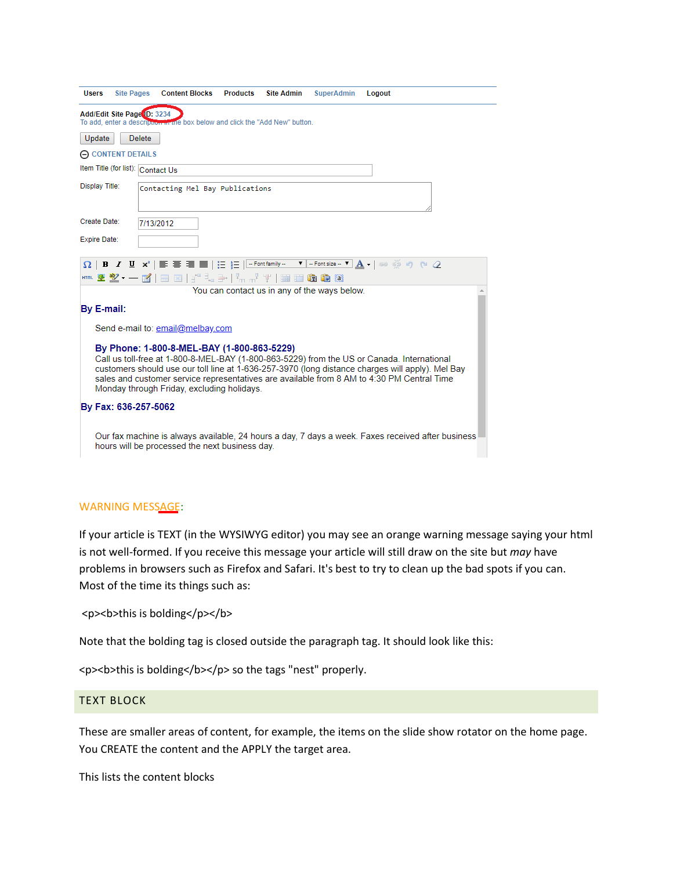| <b>Site Pages</b><br><b>Content Blocks</b><br><b>Products</b><br><b>Site Admin</b><br><b>SuperAdmin</b><br><b>Users</b><br>Logout                                                                                                                                                                                                                                                        |  |
|------------------------------------------------------------------------------------------------------------------------------------------------------------------------------------------------------------------------------------------------------------------------------------------------------------------------------------------------------------------------------------------|--|
| Add/Edit Site Page ID: 3234<br>To add, enter a description in the box below and click the "Add New" button.                                                                                                                                                                                                                                                                              |  |
| Update<br><b>Delete</b>                                                                                                                                                                                                                                                                                                                                                                  |  |
| $\Theta$ CONTENT DETAILS                                                                                                                                                                                                                                                                                                                                                                 |  |
| Item Title (for list): Contact Us                                                                                                                                                                                                                                                                                                                                                        |  |
| Display Title:<br>Contacting Mel Bay Publications                                                                                                                                                                                                                                                                                                                                        |  |
| Create Date:<br>7/13/2012                                                                                                                                                                                                                                                                                                                                                                |  |
| Expire Date:                                                                                                                                                                                                                                                                                                                                                                             |  |
| $\overline{\Omega}$   B $I$ U $\mathsf{x}^i$   $\overline{\equiv}$ $\overline{\equiv}$   $\equiv$   $\equiv$   $\equiv$ Fontfamily $\overline{\phantom{a}}$ , $\overline{\phantom{a}}$ , $\overline{\phantom{a}}$ , $\Delta$ , $\parallel$ $\otimes$ @ $\otimes$ $\cap$ $\cap$ $Q$<br>*** * <sup>*</sup> * - ヹ゚   = =   :'' - : 3-   <sup>!</sup> n n' ''               <b>① ①</b> @ @   |  |
| You can contact us in any of the ways below.                                                                                                                                                                                                                                                                                                                                             |  |
| By E-mail:                                                                                                                                                                                                                                                                                                                                                                               |  |
| Send e-mail to: email@melbay.com                                                                                                                                                                                                                                                                                                                                                         |  |
| By Phone: 1-800-8-MEL-BAY (1-800-863-5229)<br>Call us toll-free at 1-800-8-MEL-BAY (1-800-863-5229) from the US or Canada. International<br>customers should use our toll line at 1-636-257-3970 (long distance charges will apply). Mel Bay<br>sales and customer service representatives are available from 8 AM to 4:30 PM Central Time<br>Monday through Friday, excluding holidays. |  |
| By Fax: 636-257-5062                                                                                                                                                                                                                                                                                                                                                                     |  |
| Our fax machine is always available, 24 hours a day, 7 days a week. Faxes received after business<br>hours will be processed the next business day.                                                                                                                                                                                                                                      |  |

### WARNING MESSAGE:

If your article is TEXT (in the WYSIWYG editor) you may see an orange warning message saying your html is not well-formed. If you receive this message your article will still draw on the site but *may* have problems in browsers such as Firefox and Safari. It's best to try to clean up the bad spots if you can. Most of the time its things such as:

<p>>>
sholding</p>>
kb>this is bolding</p>

Note that the bolding tag is closed outside the paragraph tag. It should look like this:

<p> <br />b>this is bolding</b></p> so the tags "nest" properly.

### TEXT BLOCK

These are smaller areas of content, for example, the items on the slide show rotator on the home page. You CREATE the content and the APPLY the target area.

This lists the content blocks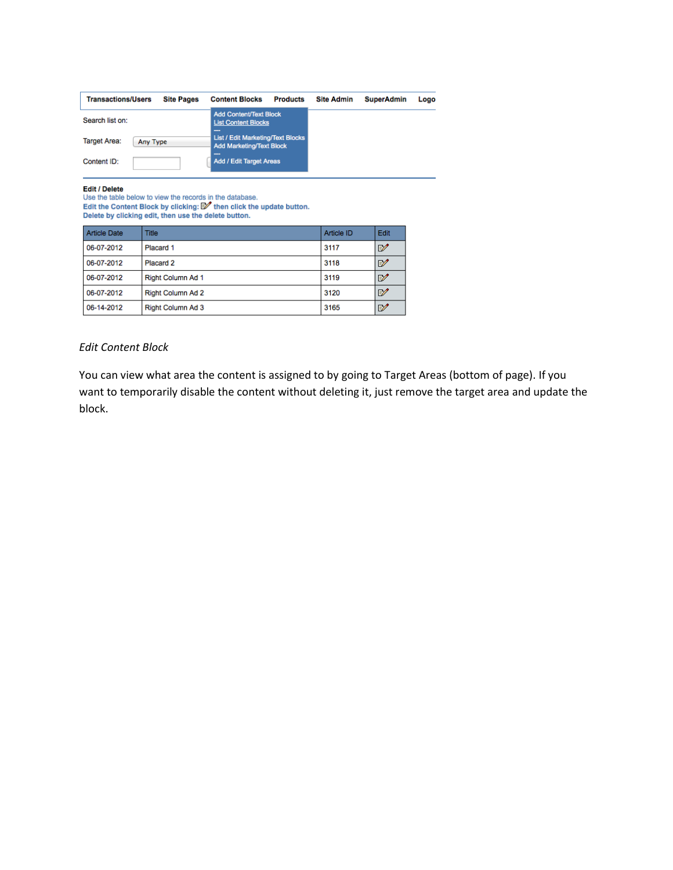| <b>Transactions/Users</b><br><b>Site Pages</b> | <b>Content Blocks</b>                                                       | <b>Products</b> | <b>Site Admin</b> | <b>SuperAdmin</b> | Logo |
|------------------------------------------------|-----------------------------------------------------------------------------|-----------------|-------------------|-------------------|------|
| Search list on:                                | <b>Add Content/Text Block</b><br><b>List Content Blocks</b><br>---          |                 |                   |                   |      |
| <b>Target Area:</b><br>Any Type                | <b>List / Edit Marketing/Text Blocks</b><br><b>Add Marketing/Text Block</b> |                 |                   |                   |      |
| Content ID:                                    | ---<br><b>Add / Edit Target Areas</b>                                       |                 |                   |                   |      |

**Edit / Delete**<br>Use the table below to view the records in the database.<br>Edit the Content Block by clicking:  $\mathbb{Z}^{\prime}$  then click the update button.<br>Delete by clicking edit, then use the delete button.

| <b>Article Date</b> | <b>Title</b>             | Article ID | Edit         |
|---------------------|--------------------------|------------|--------------|
| 06-07-2012          | Placard 1                | 3117       | ₽            |
| 06-07-2012          | Placard 2                | 3118       | ₽            |
| 06-07-2012          | Right Column Ad 1        | 3119       | ₽            |
| 06-07-2012          | <b>Right Column Ad 2</b> | 3120       | $\mathbb{F}$ |
| 06-14-2012          | Right Column Ad 3        | 3165       | ₽            |

### *Edit Content Block*

You can view what area the content is assigned to by going to Target Areas (bottom of page). If you want to temporarily disable the content without deleting it, just remove the target area and update the block.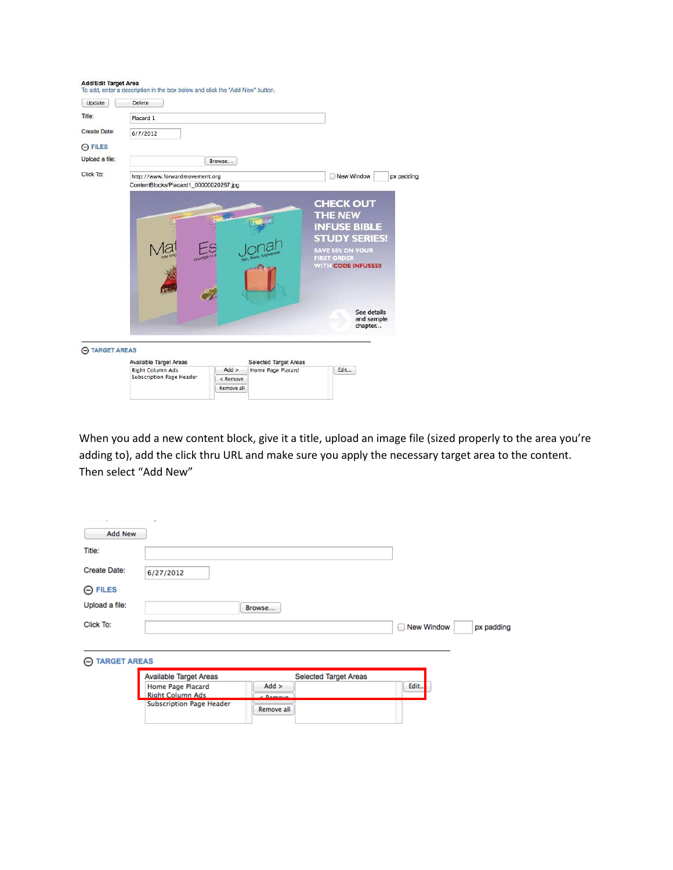| Update         | <b>Delete</b>                                                            |            |                       |                                                                                                                                                          |            |
|----------------|--------------------------------------------------------------------------|------------|-----------------------|----------------------------------------------------------------------------------------------------------------------------------------------------------|------------|
| Title:         | Placard 1                                                                |            |                       |                                                                                                                                                          |            |
| Create Date:   | 6/7/2012                                                                 |            |                       |                                                                                                                                                          |            |
| $\Theta$ FILES |                                                                          |            |                       |                                                                                                                                                          |            |
| Upload a file: |                                                                          | Browse     |                       |                                                                                                                                                          |            |
| Click To:      | http://www.forwardmovement.org<br>ContentBlocks/Placard1_00000020267.jpg |            |                       | New Window                                                                                                                                               | px padding |
|                |                                                                          |            | fish, flaws           | <b>CHECK OUT</b><br><b>THE NEW</b><br><b>INFUSE BIBLE</b><br><b>STUDY SERIES!</b><br><b>SAVE 50% ON YOUR</b><br><b>FIRST ORDER</b><br>WITH CODE INFUSES0 |            |
|                |                                                                          |            |                       | See details<br>and sample<br>chapter                                                                                                                     |            |
| A TARGET AREAS |                                                                          |            |                       |                                                                                                                                                          |            |
|                | Available Target Areas                                                   |            | Selected Target Areas |                                                                                                                                                          |            |
|                | <b>Right Column Ads</b><br>Subscription Page Header                      | $Add$ >    | Home Page Placard     | Edit                                                                                                                                                     |            |
|                |                                                                          | < Remove   |                       |                                                                                                                                                          |            |
|                |                                                                          | Remove all |                       |                                                                                                                                                          |            |

When you add a new content block, give it a title, upload an image file (sized properly to the area you're adding to), add the click thru URL and make sure you apply the necessary target area to the content. Then select "Add New"

| <b>Add New</b>                           |                                              |                      |                              |                        |            |
|------------------------------------------|----------------------------------------------|----------------------|------------------------------|------------------------|------------|
| Title:                                   |                                              |                      |                              |                        |            |
| <b>Create Date:</b>                      | 6/27/2012                                    |                      |                              |                        |            |
| $\Theta$ FILES                           |                                              |                      |                              |                        |            |
| Upload a file:                           |                                              | Browse               |                              |                        |            |
| Click To:                                |                                              |                      |                              | <b>New Window</b><br>∩ | px padding |
|                                          |                                              |                      |                              |                        |            |
| <b>TARGET AREAS</b><br>$\left( -\right)$ |                                              |                      |                              |                        |            |
|                                          | <b>Available Target Areas</b>                |                      | <b>Selected Target Areas</b> |                        |            |
|                                          | Home Page Placard<br><b>Right Column Ads</b> | $Add$ ><br>$D$ amaun |                              | Edit                   |            |
|                                          | Subscription Page Header                     | Remove all           |                              |                        |            |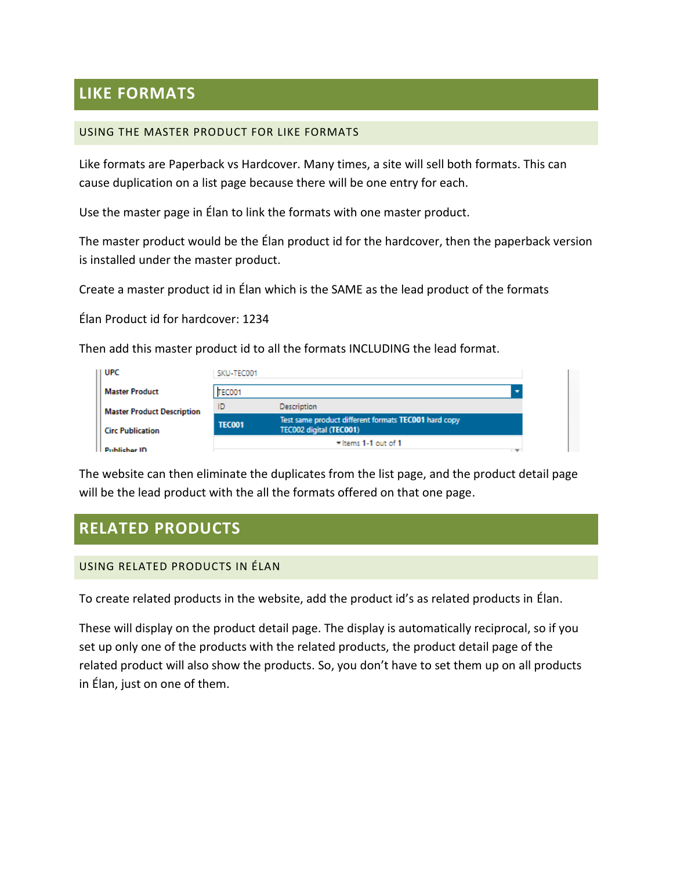# **LIKE FORMATS**

### USING THE MASTER PRODUCT FOR LIKE FORMATS

Like formats are Paperback vs Hardcover. Many times, a site will sell both formats. This can cause duplication on a list page because there will be one entry for each.

Use the master page in Élan to link the formats with one master product.

The master product would be the Élan product id for the hardcover, then the paperback version is installed under the master product.

Create a master product id in Élan which is the SAME as the lead product of the formats

Élan Product id for hardcover: 1234

Then add this master product id to all the formats INCLUDING the lead format.

| UPC                               | SKU-TEC001    |                                                                                 |
|-----------------------------------|---------------|---------------------------------------------------------------------------------|
| <b>Master Product</b>             | TEC001        |                                                                                 |
| <b>Master Product Description</b> | ID            | Description                                                                     |
| <b>Circ Publication</b>           | <b>TEC001</b> | Test same product different formats TEC001 hard copy<br>TEC002 digital (TEC001) |
| <b>Publicher ID</b>               |               | $=$ Items 1-1 out of 1<br>$\overline{\phantom{a}}$                              |

The website can then eliminate the duplicates from the list page, and the product detail page will be the lead product with the all the formats offered on that one page.

# **RELATED PRODUCTS**

### USING RELATED PRODUCTS IN ÉLAN

To create related products in the website, add the product id's as related products in Élan.

These will display on the product detail page. The display is automatically reciprocal, so if you set up only one of the products with the related products, the product detail page of the related product will also show the products. So, you don't have to set them up on all products in Élan, just on one of them.